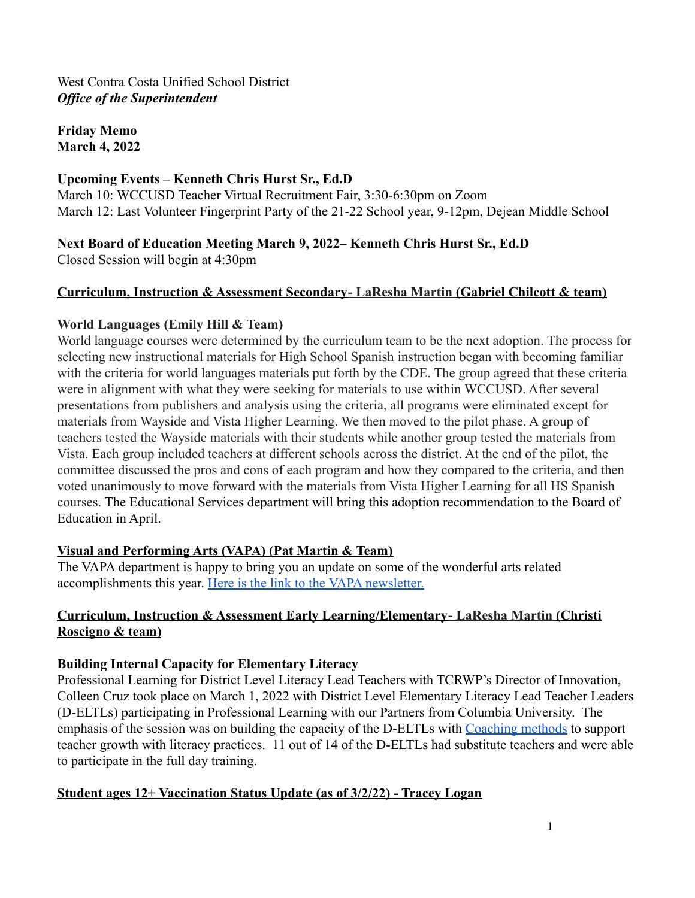**Friday Memo March 4, 2022**

### **Upcoming Events – Kenneth Chris Hurst Sr., Ed.D**

March 10: WCCUSD Teacher Virtual Recruitment Fair, 3:30-6:30pm on Zoom March 12: Last Volunteer Fingerprint Party of the 21-22 School year, 9-12pm, Dejean Middle School

**Next Board of Education Meeting March 9, 2022– Kenneth Chris Hurst Sr., Ed.D**

Closed Session will begin at 4:30pm

### **Curriculum, Instruction & Assessment Secondary- LaResha Martin (Gabriel Chilcott & team)**

### **World Languages (Emily Hill & Team)**

World language courses were determined by the curriculum team to be the next adoption. The process for selecting new instructional materials for High School Spanish instruction began with becoming familiar with the criteria for world languages materials put forth by the CDE. The group agreed that these criteria were in alignment with what they were seeking for materials to use within WCCUSD. After several presentations from publishers and analysis using the criteria, all programs were eliminated except for materials from Wayside and Vista Higher Learning. We then moved to the pilot phase. A group of teachers tested the Wayside materials with their students while another group tested the materials from Vista. Each group included teachers at different schools across the district. At the end of the pilot, the committee discussed the pros and cons of each program and how they compared to the criteria, and then voted unanimously to move forward with the materials from Vista Higher Learning for all HS Spanish courses. The Educational Services department will bring this adoption recommendation to the Board of Education in April.

# **Visual and Performing Arts (VAPA) (Pat Martin & Team)**

The VAPA department is happy to bring you an update on some of the wonderful arts related accomplishments this year. [Here is the link to the](https://docs.google.com/document/d/1ZsH0gAjnnpAa-3yJtEjXoYBsLkiZoQJzHhvRYfPu6EA/edit?usp=sharing) VAPA newsletter.

# **Curriculum, Instruction & Assessment Early Learning/Elementary- LaResha Martin (Christi Roscigno & team)**

# **Building Internal Capacity for Elementary Literacy**

Professional Learning for District Level Literacy Lead Teachers with TCRWP's Director of Innovation, Colleen Cruz took place on March 1, 2022 with District Level Elementary Literacy Lead Teacher Leaders (D-ELTLs) participating in Professional Learning with our Partners from Columbia University. The emphasis of the session was on building the capacity of the D-ELTLs with [Coaching methods](https://drive.google.com/file/d/1GDah-VfDaAqQ7lvLBdXZcWijYHZkCQtr/view?usp=sharing) to support teacher growth with literacy practices. 11 out of 14 of the D-ELTLs had substitute teachers and were able to participate in the full day training.

### **Student ages 12+ Vaccination Status Update (as of 3/2/22) - Tracey Logan**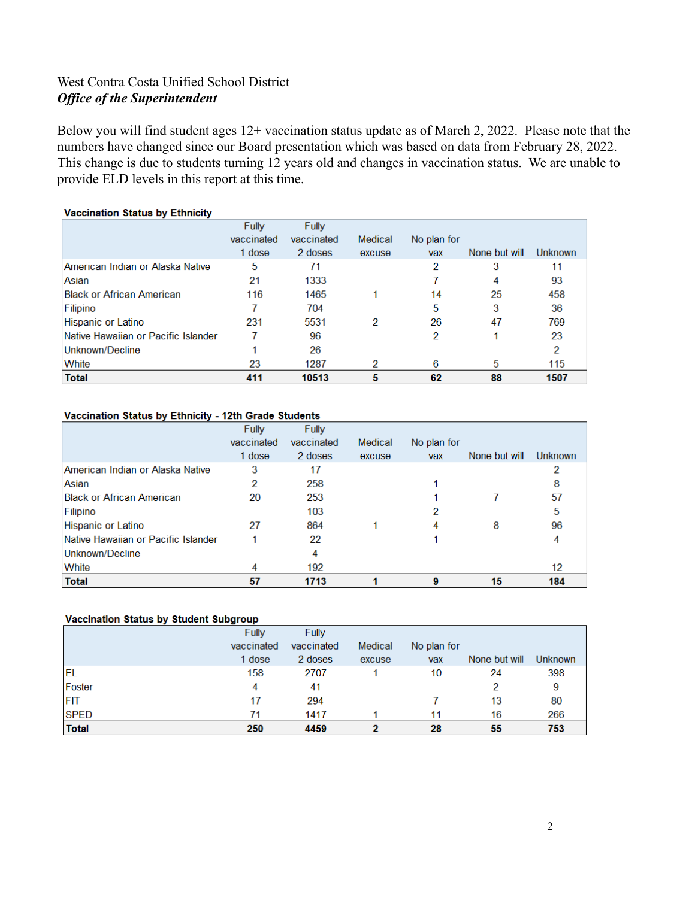Below you will find student ages 12+ vaccination status update as of March 2, 2022. Please note that the numbers have changed since our Board presentation which was based on data from February 28, 2022. This change is due to students turning 12 years old and changes in vaccination status. We are unable to provide ELD levels in this report at this time.

|                                         | Fully      | Fully      |         |             |               |                |
|-----------------------------------------|------------|------------|---------|-------------|---------------|----------------|
|                                         | vaccinated | vaccinated | Medical | No plan for |               |                |
|                                         | 1 dose     | 2 doses    | excuse  | vax         | None but will | <b>Unknown</b> |
| <b>American Indian or Alaska Native</b> | 5          | 71         |         | 2           | 3             | 11             |
| Asian                                   | 21         | 1333       |         |             | 4             | 93             |
| Bllack or African American              | 116        | 1465       |         | 14          | 25            | 458            |
| Filipino                                |            | 704        |         | 5           | 3             | 36             |
| Hispanic or Latino                      | 231        | 5531       | 2       | 26          | 47            | 769            |
| Native Hawaiian or Pacific Islander     |            | 96         |         | 2           |               | 23             |
| Unknown/Decline                         |            | 26         |         |             |               | 2              |
| White                                   | 23         | 1287       | 2       | 6           | 5             | 115            |
| <b>Total</b>                            | 411        | 10513      | 5       | 62          | 88            | 1507           |

#### **Vaccination Status by Ethnicity**

#### Vaccination Status by Ethnicity - 12th Grade Students

|                                         | Fully      | Fully      |         |             |               |         |
|-----------------------------------------|------------|------------|---------|-------------|---------------|---------|
|                                         | vaccinated | vaccinated | Medical | No plan for |               |         |
|                                         | 1 dose     | 2 doses    | excuse  | vax         | None but will | Unknown |
| <b>American Indian or Alaska Native</b> | 3          | 17         |         |             |               |         |
| Asian                                   | 2          | 258        |         |             |               | 8       |
| <b>Black or African American</b>        | 20         | 253        |         |             |               | 57      |
| Filipino                                |            | 103        |         |             |               | 5       |
| Hispanic or Latino                      | 27         | 864        |         | 4           | 8             | 96      |
| Native Hawaiian or Pacific Islander     |            | 22         |         |             |               | 4       |
| Unknown/Decline                         |            | 4          |         |             |               |         |
| <b>White</b>                            |            | 192        |         |             |               | 12      |
| Total                                   | 57         | 1713       |         |             | 15            | 184     |

#### Vaccination Status by Student Subgroup

|              | Fully      | Fully      |         |             |               |         |
|--------------|------------|------------|---------|-------------|---------------|---------|
|              | vaccinated | vaccinated | Medical | No plan for |               |         |
|              | 1 dose     | 2 doses    | excuse  | vax         | None but will | Unknown |
| <b>EL</b>    | 158        | 2707       |         | 10          | 24            | 398     |
| Foster       | 4          | 41         |         |             | 2             | 9       |
| IFIT         | 17         | 294        |         |             | 13            | 80      |
| <b>SPED</b>  | 71         | 1417       |         | 11          | 16            | 266     |
| <b>Total</b> | 250        | 4459       |         | 28          | 55            | 753     |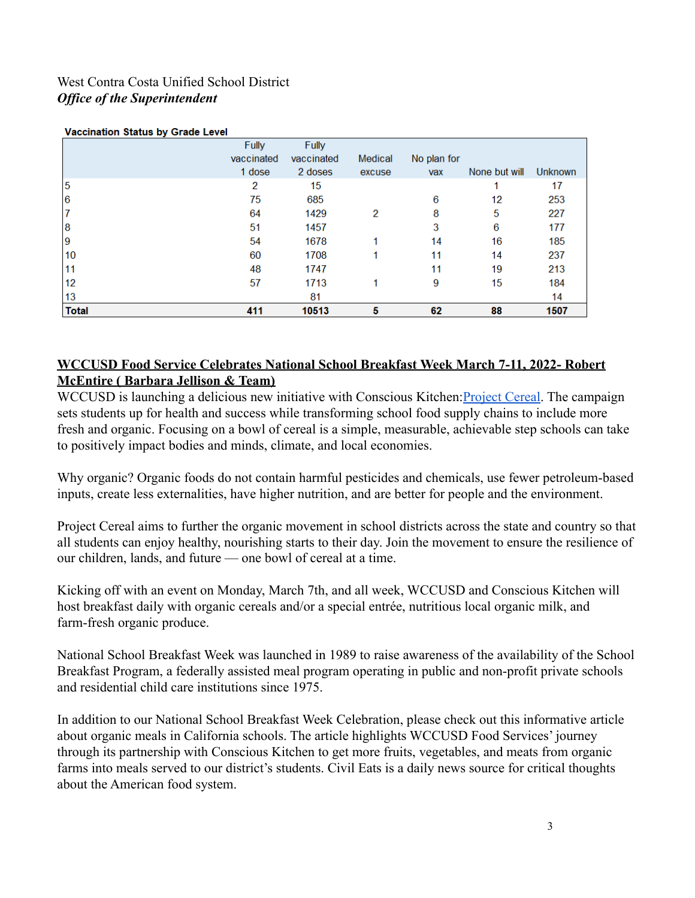|              | Fully      | <b>Fully</b> |         |             |               |                |
|--------------|------------|--------------|---------|-------------|---------------|----------------|
|              | vaccinated | vaccinated   | Medical | No plan for |               |                |
|              | 1 dose     | 2 doses      | excuse  | vax         | None but will | <b>Unknown</b> |
| 5            | 2          | 15           |         |             |               | 17             |
| 6            | 75         | 685          |         | 6           | 12            | 253            |
|              | 64         | 1429         | 2       | 8           | 5             | 227            |
| 8            | 51         | 1457         |         | 3           | 6             | 177            |
| 19           | 54         | 1678         |         | 14          | 16            | 185            |
| 10           | 60         | 1708         |         | 11          | 14            | 237            |
| 11           | 48         | 1747         |         | 11          | 19            | 213            |
| 12           | 57         | 1713         |         | 9           | 15            | 184            |
| 13           |            | 81           |         |             |               | 14             |
| <b>Total</b> | 411        | 10513        | 5       | 62          | 88            | 1507           |

#### **Monetantina Profile by Canda Lovel**

### **WCCUSD Food Service Celebrates National School Breakfast Week March 7-11, 2022- Robert McEntire ( Barbara Jellison & Team)**

WCCUSD is launching a delicious new initiative with Conscious Kitchen: [Project Cereal](https://www.consciouskitchen.org/projectcereal/). The campaign sets students up for health and success while transforming school food supply chains to include more fresh and organic. Focusing on a bowl of cereal is a simple, measurable, achievable step schools can take to positively impact bodies and minds, climate, and local economies.

Why organic? Organic foods do not contain harmful pesticides and chemicals, use fewer petroleum-based inputs, create less externalities, have higher nutrition, and are better for people and the environment.

Project Cereal aims to further the organic movement in school districts across the state and country so that all students can enjoy healthy, nourishing starts to their day. Join the movement to ensure the resilience of our children, lands, and future — one bowl of cereal at a time.

Kicking off with an event on Monday, March 7th, and all week, WCCUSD and Conscious Kitchen will host breakfast daily with organic cereals and/or a special entrée, nutritious local organic milk, and farm-fresh organic produce.

National School Breakfast Week was launched in 1989 to raise awareness of the availability of the School Breakfast Program, a federally assisted meal program operating in public and non-profit private schools and residential child care institutions since 1975.

In addition to our National School Breakfast Week Celebration, please check out this informative article about organic meals in California schools. The article highlights WCCUSD Food Services' journey through its partnership with Conscious Kitchen to get more fruits, vegetables, and meats from organic farms into meals served to our district's students. Civil Eats is a daily news source for critical thoughts about the American food system.